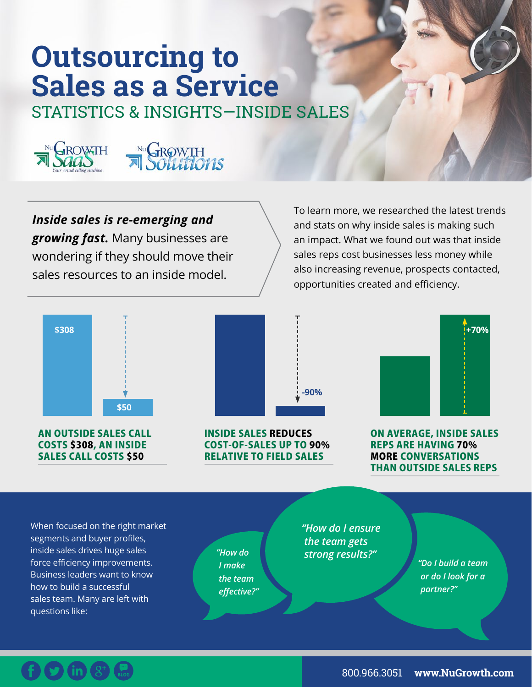# **Outsourcing to Sales as a Service**

STATISTICS & INSIGHTS—INSIDE SALES





*Inside sales is re-emerging and growing fast.* Many businesses are wondering if they should move their

sales resources to an inside model.

To learn more, we researched the latest trends and stats on why inside sales is making such an impact. What we found out was that inside sales reps cost businesses less money while also increasing revenue, prospects contacted, opportunities created and efficiency.



AN OUTSIDE SALES CALL COSTS \$308, AN INSIDE SALES CALL COSTS \$50



INSIDE SALES REDUCES COST-OF-SALES UP TO 90% RELATIVE TO FIELD SALES



ON AVERAGE, INSIDE SALES REPS ARE HAVING 70% MORE CONVERSATIONS THAN OUTSIDE SALES REPS

When focused on the right market segments and buyer profiles, inside sales drives huge sales force efficiency improvements. Business leaders want to know how to build a successful sales team. Many are left with questions like:

*I make the team effective?"* 

*"How do I ensure the team gets strong results?" "How do* 

*"Do I build a team or do I look for a partner?"*